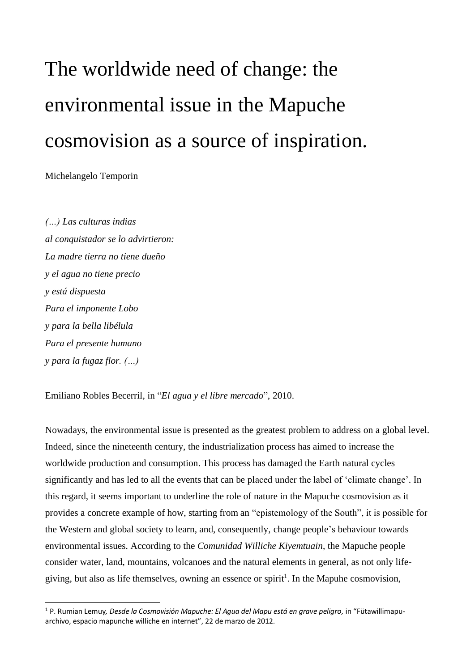## The worldwide need of change: the environmental issue in the Mapuche cosmovision as a source of inspiration.

Michelangelo Temporin

*(…) Las culturas indias al conquistador se lo advirtieron: La madre tierra no tiene dueño y el agua no tiene precio y está dispuesta Para el imponente Lobo y para la bella libélula Para el presente humano y para la fugaz flor. (…)*

Emiliano Robles Becerril, in "*El agua y el libre mercado*", 2010.

Nowadays, the environmental issue is presented as the greatest problem to address on a global level. Indeed, since the nineteenth century, the industrialization process has aimed to increase the worldwide production and consumption. This process has damaged the Earth natural cycles significantly and has led to all the events that can be placed under the label of 'climate change'. In this regard, it seems important to underline the role of nature in the Mapuche cosmovision as it provides a concrete example of how, starting from an "epistemology of the South", it is possible for the Western and global society to learn, and, consequently, change people's behaviour towards environmental issues. According to the *Comunidad Williche Kiyemtuain*, the Mapuche people consider water, land, mountains, volcanoes and the natural elements in general, as not only lifegiving, but also as life themselves, owning an essence or spirit<sup>1</sup>. In the Mapuhe cosmovision,

<sup>1</sup> P. Rumian Lemuy*, Desde la Cosmovisión Mapuche: El Agua del Mapu está en grave peligro,* in "Fütawillimapuarchivo, espacio mapunche williche en internet", 22 de marzo de 2012.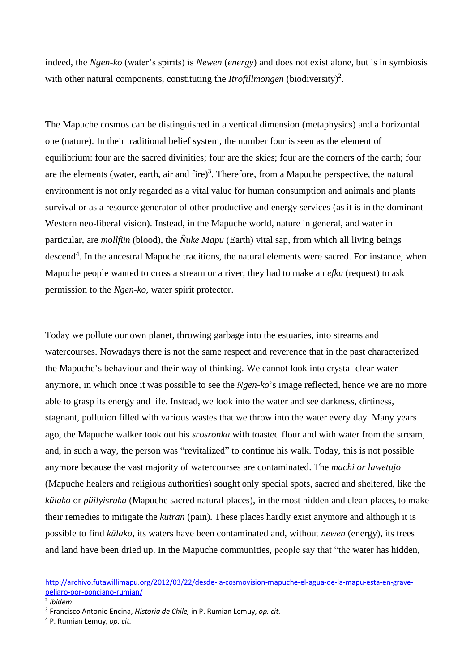indeed, the *Ngen-ko* (water's spirits) is *Newen* (*energy*) and does not exist alone, but is in symbiosis with other natural components, constituting the *Itrofillmongen* (biodiversity)<sup>2</sup>.

The Mapuche cosmos can be distinguished in a vertical dimension (metaphysics) and a horizontal one (nature). In their traditional belief system, the number four is seen as the element of equilibrium: four are the sacred divinities; four are the skies; four are the corners of the earth; four are the elements (water, earth, air and fire)<sup>3</sup>. Therefore, from a Mapuche perspective, the natural environment is not only regarded as a vital value for human consumption and animals and plants survival or as a resource generator of other productive and energy services (as it is in the dominant Western neo-liberal vision). Instead, in the Mapuche world, nature in general, and water in particular, are *mollfün* (blood), the *Ñuke Mapu* (Earth) vital sap, from which all living beings descend<sup>4</sup>. In the ancestral Mapuche traditions, the natural elements were sacred. For instance, when Mapuche people wanted to cross a stream or a river, they had to make an *efku* (request) to ask permission to the *Ngen-ko,* water spirit protector.

Today we pollute our own planet, throwing garbage into the estuaries, into streams and watercourses. Nowadays there is not the same respect and reverence that in the past characterized the Mapuche's behaviour and their way of thinking. We cannot look into crystal-clear water anymore, in which once it was possible to see the *Ngen-ko*'s image reflected, hence we are no more able to grasp its energy and life. Instead, we look into the water and see darkness, dirtiness, stagnant, pollution filled with various wastes that we throw into the water every day. Many years ago, the Mapuche walker took out his *srosronka* with toasted flour and with water from the stream, and, in such a way, the person was "revitalized" to continue his walk. Today, this is not possible anymore because the vast majority of watercourses are contaminated. The *machi or lawetujo* (Mapuche healers and religious authorities) sought only special spots, sacred and sheltered, like the *külako* or *püilyisruka* (Mapuche sacred natural places), in the most hidden and clean places, to make their remedies to mitigate the *kutran* (pain). These places hardly exist anymore and although it is possible to find *külako,* its waters have been contaminated and, without *newen* (energy), its trees and land have been dried up. In the Mapuche communities, people say that "the water has hidden,

[http://archivo.futawillimapu.org/2012/03/22/desde-la-cosmovision-mapuche-el-agua-de-la-mapu-esta-en-grave](http://archivo.futawillimapu.org/2012/03/22/desde-la-cosmovision-mapuche-el-agua-de-la-mapu-esta-en-grave-peligro-por-ponciano-rumian/)[peligro-por-ponciano-rumian/](http://archivo.futawillimapu.org/2012/03/22/desde-la-cosmovision-mapuche-el-agua-de-la-mapu-esta-en-grave-peligro-por-ponciano-rumian/)

<sup>2</sup> *Ibidem*

<sup>3</sup> Francisco Antonio Encina, *Historia de Chile,* in P. Rumian Lemuy, *op. cit.*

<sup>4</sup> P. Rumian Lemuy, *op. cit.*